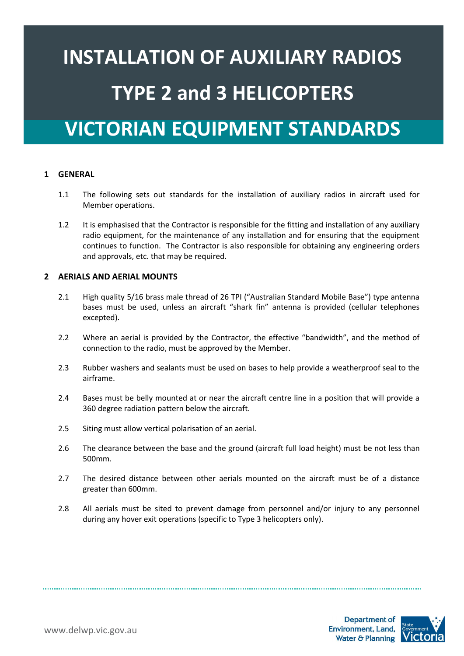# **INSTALLATION OF AUXILIARY RADIOS TYPE 2 and 3 HELICOPTERS**

# **VICTORIAN EQUIPMENT STANDARDS**

# **1 GENERAL**

- 1.1 The following sets out standards for the installation of auxiliary radios in aircraft used for Member operations.
- 1.2 It is emphasised that the Contractor is responsible for the fitting and installation of any auxiliary radio equipment, for the maintenance of any installation and for ensuring that the equipment continues to function. The Contractor is also responsible for obtaining any engineering orders and approvals, etc. that may be required.

## **2 AERIALS AND AERIAL MOUNTS**

- 2.1 High quality 5/16 brass male thread of 26 TPI ("Australian Standard Mobile Base") type antenna bases must be used, unless an aircraft "shark fin" antenna is provided (cellular telephones excepted).
- 2.2 Where an aerial is provided by the Contractor, the effective "bandwidth", and the method of connection to the radio, must be approved by the Member.
- 2.3 Rubber washers and sealants must be used on bases to help provide a weatherproof seal to the airframe.
- 2.4 Bases must be belly mounted at or near the aircraft centre line in a position that will provide a 360 degree radiation pattern below the aircraft.
- 2.5 Siting must allow vertical polarisation of an aerial.
- 2.6 The clearance between the base and the ground (aircraft full load height) must be not less than 500mm.
- 2.7 The desired distance between other aerials mounted on the aircraft must be of a distance greater than 600mm.
- 2.8 All aerials must be sited to prevent damage from personnel and/or injury to any personnel during any hover exit operations (specific to Type 3 helicopters only).

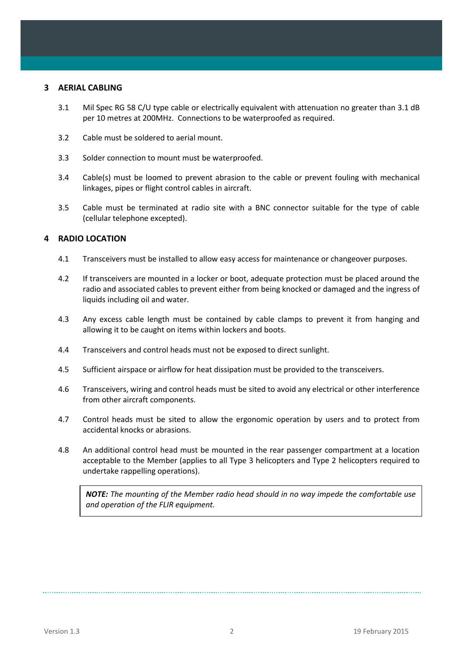#### **3 AERIAL CABLING**

- 3.1 Mil Spec RG 58 C/U type cable or electrically equivalent with attenuation no greater than 3.1 dB per 10 metres at 200MHz. Connections to be waterproofed as required.
- 3.2 Cable must be soldered to aerial mount.
- 3.3 Solder connection to mount must be waterproofed.
- 3.4 Cable(s) must be loomed to prevent abrasion to the cable or prevent fouling with mechanical linkages, pipes or flight control cables in aircraft.
- 3.5 Cable must be terminated at radio site with a BNC connector suitable for the type of cable (cellular telephone excepted).

## **4 RADIO LOCATION**

- 4.1 Transceivers must be installed to allow easy access for maintenance or changeover purposes.
- 4.2 If transceivers are mounted in a locker or boot, adequate protection must be placed around the radio and associated cables to prevent either from being knocked or damaged and the ingress of liquids including oil and water.
- 4.3 Any excess cable length must be contained by cable clamps to prevent it from hanging and allowing it to be caught on items within lockers and boots.
- 4.4 Transceivers and control heads must not be exposed to direct sunlight.
- 4.5 Sufficient airspace or airflow for heat dissipation must be provided to the transceivers.
- 4.6 Transceivers, wiring and control heads must be sited to avoid any electrical or other interference from other aircraft components.
- 4.7 Control heads must be sited to allow the ergonomic operation by users and to protect from accidental knocks or abrasions.
- 4.8 An additional control head must be mounted in the rear passenger compartment at a location acceptable to the Member (applies to all Type 3 helicopters and Type 2 helicopters required to undertake rappelling operations).

*NOTE: The mounting of the Member radio head should in no way impede the comfortable use and operation of the FLIR equipment.*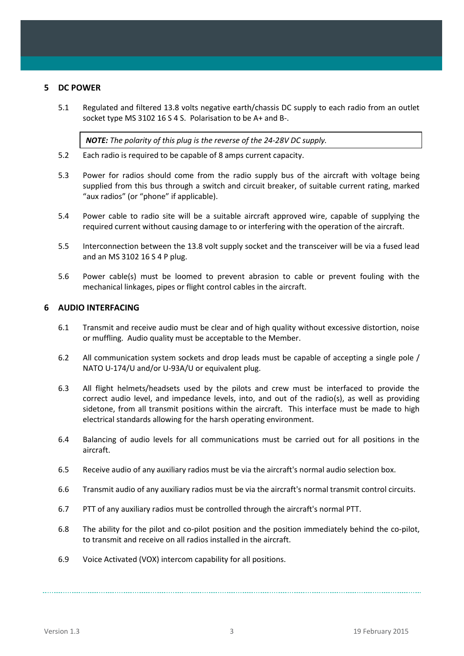## **5 DC POWER**

5.1 Regulated and filtered 13.8 volts negative earth/chassis DC supply to each radio from an outlet socket type MS 3102 16 S 4 S. Polarisation to be A+ and B-.

*NOTE: The polarity of this plug is the reverse of the 24-28V DC supply.*

- 5.2 Each radio is required to be capable of 8 amps current capacity.
- 5.3 Power for radios should come from the radio supply bus of the aircraft with voltage being supplied from this bus through a switch and circuit breaker, of suitable current rating, marked "aux radios" (or "phone" if applicable).
- 5.4 Power cable to radio site will be a suitable aircraft approved wire, capable of supplying the required current without causing damage to or interfering with the operation of the aircraft.
- 5.5 Interconnection between the 13.8 volt supply socket and the transceiver will be via a fused lead and an MS 3102 16 S 4 P plug.
- 5.6 Power cable(s) must be loomed to prevent abrasion to cable or prevent fouling with the mechanical linkages, pipes or flight control cables in the aircraft.

#### **6 AUDIO INTERFACING**

- 6.1 Transmit and receive audio must be clear and of high quality without excessive distortion, noise or muffling. Audio quality must be acceptable to the Member.
- 6.2 All communication system sockets and drop leads must be capable of accepting a single pole / NATO U-174/U and/or U-93A/U or equivalent plug.
- 6.3 All flight helmets/headsets used by the pilots and crew must be interfaced to provide the correct audio level, and impedance levels, into, and out of the radio(s), as well as providing sidetone, from all transmit positions within the aircraft. This interface must be made to high electrical standards allowing for the harsh operating environment.
- 6.4 Balancing of audio levels for all communications must be carried out for all positions in the aircraft.
- 6.5 Receive audio of any auxiliary radios must be via the aircraft's normal audio selection box.
- 6.6 Transmit audio of any auxiliary radios must be via the aircraft's normal transmit control circuits.
- 6.7 PTT of any auxiliary radios must be controlled through the aircraft's normal PTT.
- 6.8 The ability for the pilot and co-pilot position and the position immediately behind the co-pilot, to transmit and receive on all radios installed in the aircraft.
- 6.9 Voice Activated (VOX) intercom capability for all positions.